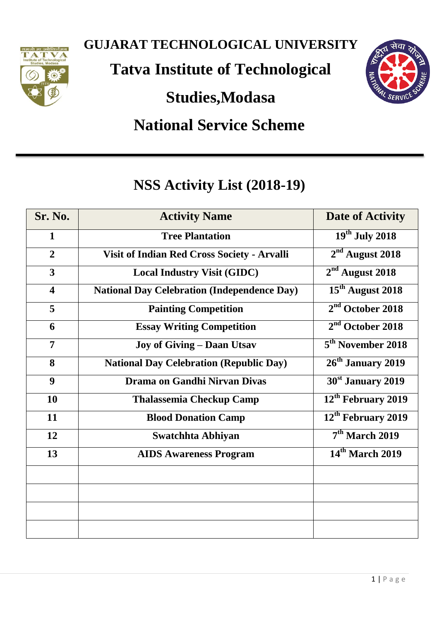

**GUJARAT TECHNOLOGICAL UNIVERSITY**

**Tatva Institute of Technological** 

**Studies,Modasa**



# **National Service Scheme**

## **NSS Activity List (2018-19)**

| Sr. No.                 | <b>Activity Name</b>                               | <b>Date of Activity</b>        |
|-------------------------|----------------------------------------------------|--------------------------------|
| $\mathbf{1}$            | <b>Tree Plantation</b>                             | $19th$ July 2018               |
| $\overline{2}$          | Visit of Indian Red Cross Society - Arvalli        | $2nd$ August 2018              |
| $\overline{\mathbf{3}}$ | <b>Local Industry Visit (GIDC)</b>                 | $2nd$ August 2018              |
| $\overline{\mathbf{4}}$ | <b>National Day Celebration (Independence Day)</b> | 15 <sup>th</sup> August 2018   |
| 5                       | <b>Painting Competition</b>                        | $2nd$ October 2018             |
| 6                       | <b>Essay Writing Competition</b>                   | $2nd$ October 2018             |
| $\overline{7}$          | <b>Joy of Giving - Daan Utsav</b>                  | 5 <sup>th</sup> November 2018  |
| 8                       | <b>National Day Celebration (Republic Day)</b>     | 26 <sup>th</sup> January 2019  |
| 9                       | Drama on Gandhi Nirvan Divas                       | 30 <sup>st</sup> January 2019  |
| 10                      | <b>Thalassemia Checkup Camp</b>                    | 12 <sup>th</sup> February 2019 |
| 11                      | <b>Blood Donation Camp</b>                         | 12 <sup>th</sup> February 2019 |
| 12                      | <b>Swatchhta Abhiyan</b>                           | 7 <sup>th</sup> March 2019     |
| 13                      | <b>AIDS Awareness Program</b>                      | 14 <sup>th</sup> March 2019    |
|                         |                                                    |                                |
|                         |                                                    |                                |
|                         |                                                    |                                |
|                         |                                                    |                                |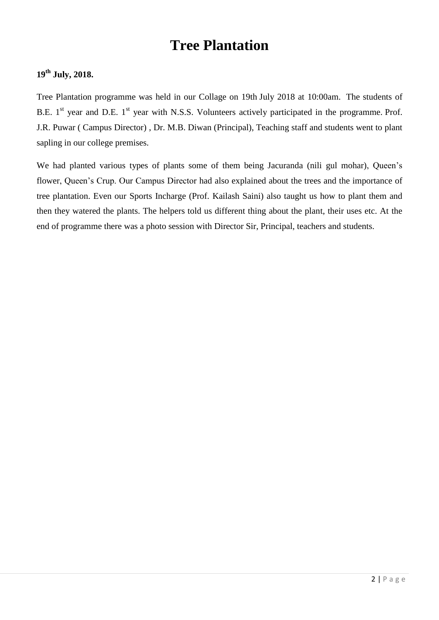## **Tree Plantation**

#### **19th July, 2018.**

Tree Plantation programme was held in our Collage on 19th July 2018 at 10:00am. The students of B.E.  $1<sup>st</sup>$  year and D.E.  $1<sup>st</sup>$  year with N.S.S. Volunteers actively participated in the programme. Prof. J.R. Puwar ( Campus Director) , Dr. M.B. Diwan (Principal), Teaching staff and students went to plant sapling in our college premises.

We had planted various types of plants some of them being Jacuranda (nili gul mohar), Queen's flower, Queen's Crup. Our Campus Director had also explained about the trees and the importance of tree plantation. Even our Sports Incharge (Prof. Kailash Saini) also taught us how to plant them and then they watered the plants. The helpers told us different thing about the plant, their uses etc. At the end of programme there was a photo session with Director Sir, Principal, teachers and students.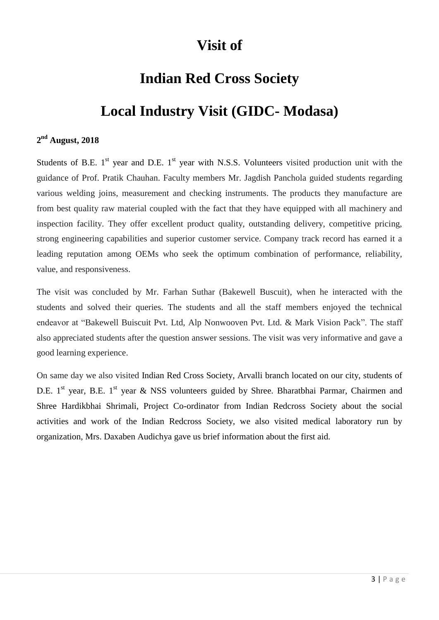## **Visit of**

## **Indian Red Cross Society**

## **Local Industry Visit (GIDC- Modasa)**

#### **2 nd August, 2018**

Students of B.E.  $1<sup>st</sup>$  year and D.E.  $1<sup>st</sup>$  year with N.S.S. Volunteers visited production unit with the guidance of Prof. Pratik Chauhan. Faculty members Mr. Jagdish Panchola guided students regarding various welding joins, measurement and checking instruments. The products they manufacture are from best quality raw material coupled with the fact that they have equipped with all machinery and inspection facility. They offer excellent product quality, outstanding delivery, competitive pricing, strong engineering capabilities and superior customer service. Company track record has earned it a leading reputation among OEMs who seek the optimum combination of performance, reliability, value, and responsiveness.

The visit was concluded by Mr. Farhan Suthar (Bakewell Buscuit), when he interacted with the students and solved their queries. The students and all the staff members enjoyed the technical endeavor at "Bakewell Buiscuit Pvt. Ltd, Alp Nonwooven Pvt. Ltd. & Mark Vision Pack". The staff also appreciated students after the question answer sessions. The visit was very informative and gave a good learning experience.

On same day we also visited Indian Red Cross Society, Arvalli branch located on our city, students of D.E. 1<sup>st</sup> year, B.E. 1<sup>st</sup> year & NSS volunteers guided by Shree. Bharatbhai Parmar, Chairmen and Shree Hardikbhai Shrimali, Project Co-ordinator from Indian Redcross Society about the social activities and work of the Indian Redcross Society, we also visited medical laboratory run by organization, Mrs. Daxaben Audichya gave us brief information about the first aid.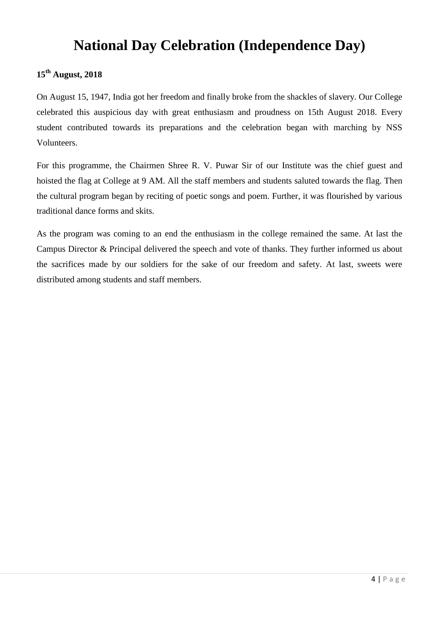## **National Day Celebration (Independence Day)**

### **15th August, 2018**

On August 15, 1947, India got her freedom and finally broke from the shackles of slavery. Our College celebrated this auspicious day with great enthusiasm and proudness on 15th August 2018. Every student contributed towards its preparations and the celebration began with marching by NSS Volunteers.

For this programme, the Chairmen Shree R. V. Puwar Sir of our Institute was the chief guest and hoisted the flag at College at 9 AM. All the staff members and students saluted towards the flag. Then the cultural program began by reciting of poetic songs and poem. Further, it was flourished by various traditional dance forms and skits.

As the program was coming to an end the enthusiasm in the college remained the same. At last the Campus Director & Principal delivered the speech and vote of thanks. They further informed us about the sacrifices made by our soldiers for the sake of our freedom and safety. At last, sweets were distributed among students and staff members.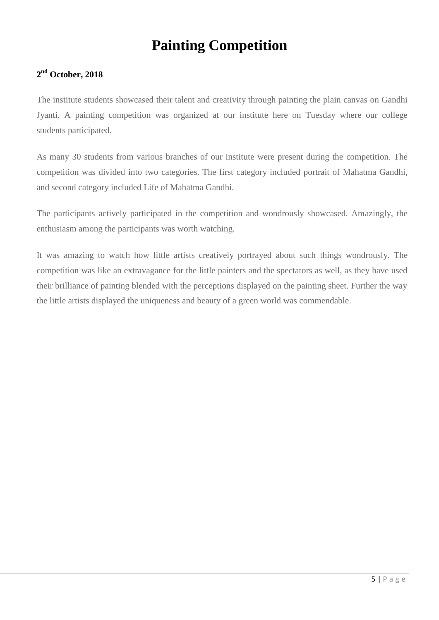## **Painting Competition**

#### **2 nd October, 2018**

The institute students showcased their talent and creativity through painting the plain canvas on Gandhi Jyanti. A painting competition was organized at our institute here on Tuesday where our college students participated.

As many 30 students from various branches of our institute were present during the competition. The competition was divided into two categories. The first category included portrait of Mahatma Gandhi, and second category included Life of Mahatma Gandhi.

The participants actively participated in the competition and wondrously showcased. Amazingly, the enthusiasm among the participants was worth watching.

It was amazing to watch how little artists creatively portrayed about such things wondrously. The competition was like an extravagance for the little painters and the spectators as well, as they have used their brilliance of painting blended with the perceptions displayed on the painting sheet. Further the way the little artists displayed the uniqueness and beauty of a green world was commendable.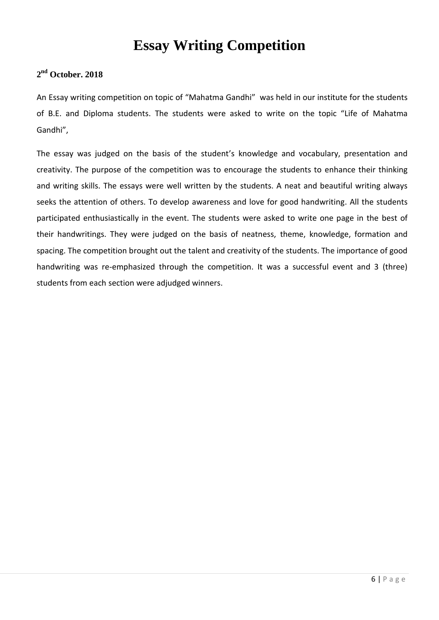## **Essay Writing Competition**

#### **2 nd October. 2018**

An Essay writing competition on topic of "Mahatma Gandhi" was held in our institute for the students of B.E. and Diploma students. The students were asked to write on the topic "Life of Mahatma Gandhi",

The essay was judged on the basis of the student's knowledge and vocabulary, presentation and creativity. The purpose of the competition was to encourage the students to enhance their thinking and writing skills. The essays were well written by the students. A neat and beautiful writing always seeks the attention of others. To develop awareness and love for good handwriting. All the students participated enthusiastically in the event. The students were asked to write one page in the best of their handwritings. They were judged on the basis of neatness, theme, knowledge, formation and spacing. The competition brought out the talent and creativity of the students. The importance of good handwriting was re-emphasized through the competition. It was a successful event and 3 (three) students from each section were adjudged winners.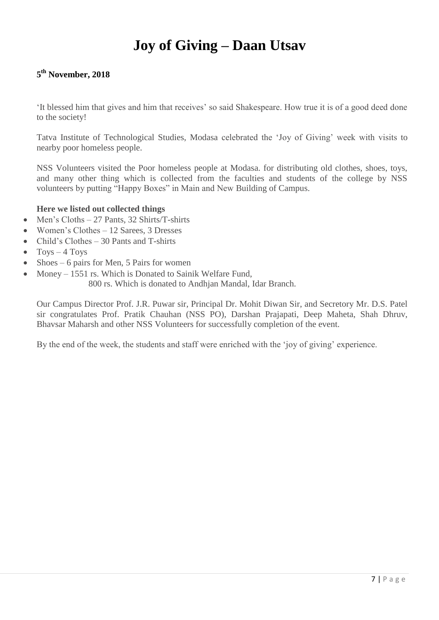## **Joy of Giving – Daan Utsav**

#### **5 th November, 2018**

'It blessed him that gives and him that receives' so said Shakespeare. How true it is of a good deed done to the society!

Tatva Institute of Technological Studies, Modasa celebrated the 'Joy of Giving' week with visits to nearby poor homeless people.

NSS Volunteers visited the Poor homeless people at Modasa. for distributing old clothes, shoes, toys, and many other thing which is collected from the faculties and students of the college by NSS volunteers by putting "Happy Boxes" in Main and New Building of Campus.

#### **Here we listed out collected things**

- Men's Cloths 27 Pants, 32 Shirts/T-shirts
- Women's Clothes 12 Sarees, 3 Dresses
- Child's Clothes 30 Pants and T-shirts
- $\bullet$  Toys 4 Toys
- Shoes 6 pairs for Men, 5 Pairs for women
- Money 1551 rs. Which is Donated to Sainik Welfare Fund,
	- 800 rs. Which is donated to Andhjan Mandal, Idar Branch.

Our Campus Director Prof. J.R. Puwar sir, Principal Dr. Mohit Diwan Sir, and Secretory Mr. D.S. Patel sir congratulates Prof. Pratik Chauhan (NSS PO), Darshan Prajapati, Deep Maheta, Shah Dhruv, Bhavsar Maharsh and other NSS Volunteers for successfully completion of the event.

By the end of the week, the students and staff were enriched with the 'joy of giving' experience.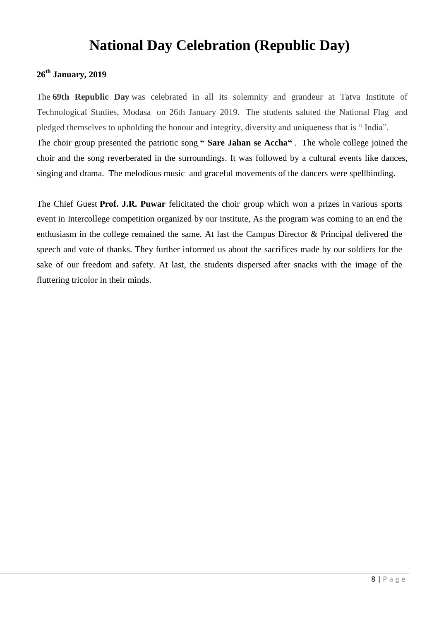### **National Day Celebration (Republic Day)**

### **26th January, 2019**

The **69th Republic Day** was celebrated in all its solemnity and grandeur at Tatva Institute of Technological Studies, Modasa on 26th January 2019. The students saluted the National Flag and pledged themselves to upholding the honour and integrity, diversity and uniqueness that is " India". The choir group presented the patriotic song **" Sare Jahan se Accha"** . The whole college joined the choir and the song reverberated in the surroundings. It was followed by a cultural events like dances, singing and drama. The melodious music and graceful movements of the dancers were spellbinding.

The Chief Guest **Prof. J.R. Puwar** felicitated the choir group which won a prizes in various sports event in Intercollege competition organized by our institute, As the program was coming to an end the enthusiasm in the college remained the same. At last the Campus Director & Principal delivered the speech and vote of thanks. They further informed us about the sacrifices made by our soldiers for the sake of our freedom and safety. At last, the students dispersed after snacks with the image of the fluttering tricolor in their minds.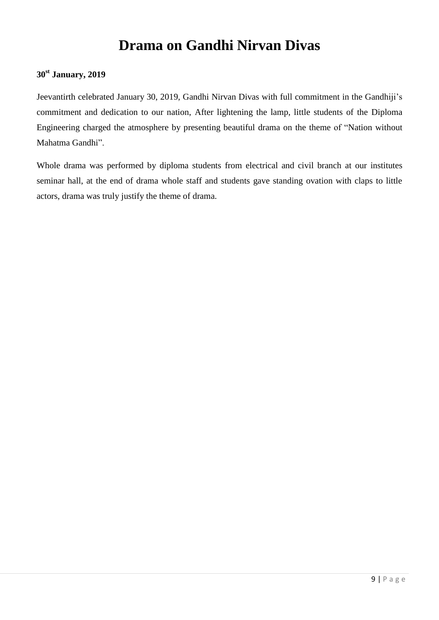## **Drama on Gandhi Nirvan Divas**

#### **30st January, 2019**

Jeevantirth celebrated January 30, 2019, Gandhi Nirvan Divas with full commitment in the Gandhiji's commitment and dedication to our nation, After lightening the lamp, little students of the Diploma Engineering charged the atmosphere by presenting beautiful drama on the theme of "Nation without Mahatma Gandhi".

Whole drama was performed by diploma students from electrical and civil branch at our institutes seminar hall, at the end of drama whole staff and students gave standing ovation with claps to little actors, drama was truly justify the theme of drama.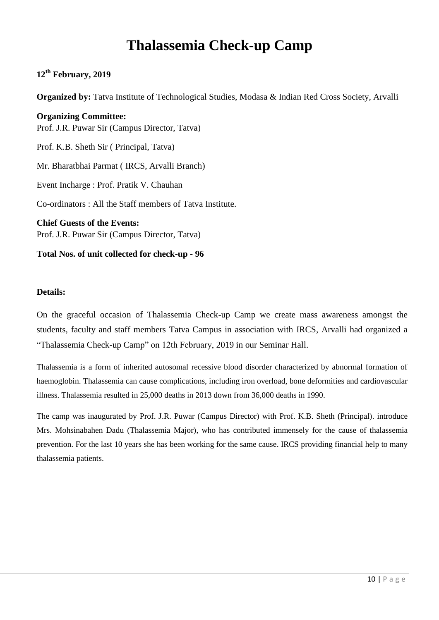## **Thalassemia Check-up Camp**

#### **12th February, 2019**

**Organized by:** Tatva Institute of Technological Studies, Modasa & Indian Red Cross Society, Arvalli

**Organizing Committee:** Prof. J.R. Puwar Sir (Campus Director, Tatva) Prof. K.B. Sheth Sir ( Principal, Tatva) Mr. Bharatbhai Parmat ( IRCS, Arvalli Branch) Event Incharge : Prof. Pratik V. Chauhan Co-ordinators : All the Staff members of Tatva Institute. **Chief Guests of the Events:** Prof. J.R. Puwar Sir (Campus Director, Tatva)

#### **Total Nos. of unit collected for check-up - 96**

#### **Details:**

On the graceful occasion of Thalassemia Check-up Camp we create mass awareness amongst the students, faculty and staff members Tatva Campus in association with IRCS, Arvalli had organized a "Thalassemia Check-up Camp" on 12th February, 2019 in our Seminar Hall.

Thalassemia is a form of inherited autosomal recessive blood disorder characterized by abnormal formation of haemoglobin. Thalassemia can cause complications, including iron overload, bone deformities and cardiovascular illness. Thalassemia resulted in 25,000 deaths in 2013 down from 36,000 deaths in 1990.

The camp was inaugurated by Prof. J.R. Puwar (Campus Director) with Prof. K.B. Sheth (Principal). introduce Mrs. Mohsinabahen Dadu (Thalassemia Major), who has contributed immensely for the cause of thalassemia prevention. For the last 10 years she has been working for the same cause. IRCS providing financial help to many thalassemia patients.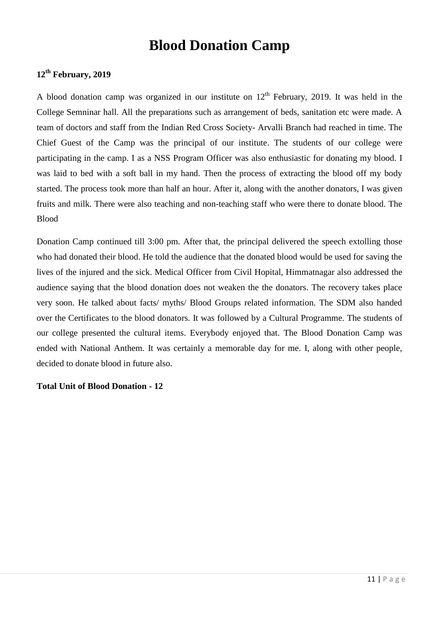### **Blood Donation Camp**

#### **12th February, 2019**

A blood donation camp was organized in our institute on  $12<sup>th</sup>$  February, 2019. It was held in the College Semninar hall. All the preparations such as arrangement of beds, sanitation etc were made. A team of doctors and staff from the Indian Red Cross Society- Arvalli Branch had reached in time. The Chief Guest of the Camp was the principal of our institute. The students of our college were participating in the camp. I as a NSS Program Officer was also enthusiastic for donating my blood. I was laid to bed with a soft ball in my hand. Then the process of extracting the blood off my body started. The process took more than half an hour. After it, along with the another donators, I was given fruits and milk. There were also teaching and non-teaching staff who were there to donate blood. The Blood

Donation Camp continued till 3:00 pm. After that, the principal delivered the speech extolling those who had donated their blood. He told the audience that the donated blood would be used for saving the lives of the injured and the sick. Medical Officer from Civil Hopital, Himmatnagar also addressed the audience saying that the blood donation does not weaken the the donators. The recovery takes place very soon. He talked about facts/ myths/ Blood Groups related information. The SDM also handed over the Certificates to the blood donators. It was followed by a Cultural Programme. The students of our college presented the cultural items. Everybody enjoyed that. The Blood Donation Camp was ended with National Anthem. It was certainly a memorable day for me. I, along with other people, decided to donate blood in future also.

#### **Total Unit of Blood Donation - 12**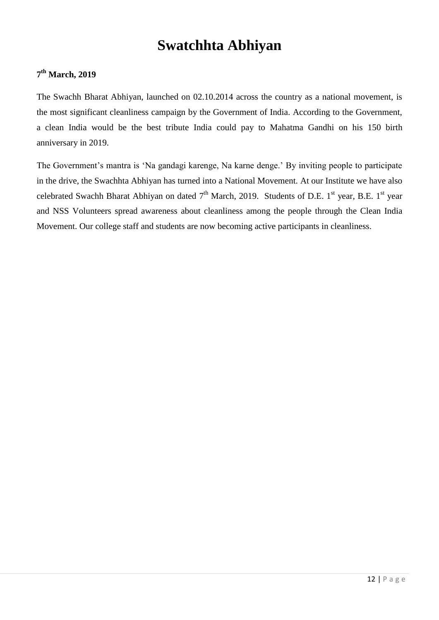## **Swatchhta Abhiyan**

#### **7 th March, 2019**

The Swachh Bharat Abhiyan, launched on 02.10.2014 across the country as a national movement, is the most significant cleanliness campaign by the Government of India. According to the Government, a clean India would be the best tribute India could pay to Mahatma Gandhi on his 150 birth anniversary in 2019.

The Government's mantra is 'Na gandagi karenge, Na karne denge.' By inviting people to participate in the drive, the Swachhta Abhiyan has turned into a National Movement. At our Institute we have also celebrated Swachh Bharat Abhiyan on dated  $7<sup>th</sup>$  March, 2019. Students of D.E. 1<sup>st</sup> year, B.E. 1<sup>st</sup> year and NSS Volunteers spread awareness about cleanliness among the people through the Clean India Movement. Our college staff and students are now becoming active participants in cleanliness.